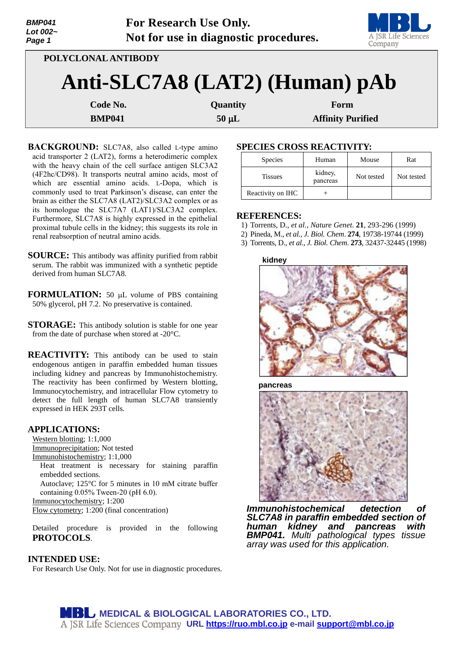| <b>BMP041</b><br>Lot $002-$<br>Page 1 |                     | For Research Use Only.<br>Not for use in diagnostic procedures. | A JSR Life Sciences<br>Company |  |  |
|---------------------------------------|---------------------|-----------------------------------------------------------------|--------------------------------|--|--|
|                                       | POLYCLONAL ANTIBODY |                                                                 |                                |  |  |
|                                       |                     | Anti-SLC7A8 (LAT2) (Human) pAb                                  |                                |  |  |
|                                       | Code No.            | Quantity                                                        | Form                           |  |  |
| <b>BMP041</b>                         |                     | $50 \mu L$                                                      | <b>Affinity Purified</b>       |  |  |

**BACKGROUND:** SLC7A8, also called L-type amino acid transporter 2 (LAT2), forms a heterodimeric complex with the heavy chain of the cell surface antigen SLC3A2 (4F2hc/CD98). It transports neutral amino acids, most of which are essential amino acids. L-Dopa, which is commonly used to treat Parkinson's disease, can enter the brain as either the SLC7A8 (LAT2)/SLC3A2 complex or as its homologue the SLC7A7 (LAT1)/SLC3A2 complex. Furthermore, SLC7A8 is highly expressed in the epithelial proximal tubule cells in the kidney; this suggests its role in renal reabsorption of neutral amino acids.

**SOURCE:** This antibody was affinity purified from rabbit serum. The rabbit was immunized with a synthetic peptide derived from human SLC7A8.

**FORMULATION:** 50 µL volume of PBS containing 50% glycerol, pH 7.2. No preservative is contained.

**STORAGE:** This antibody solution is stable for one year from the date of purchase when stored at -20°C.

**REACTIVITY:** This antibody can be used to stain endogenous antigen in paraffin embedded human tissues including kidney and pancreas by Immunohistochemistry. The reactivity has been confirmed by Western blotting, Immunocytochemistry, and intracellular Flow cytometry to detect the full length of human SLC7A8 transiently expressed in HEK 293T cells.

#### **APPLICATIONS:**

Western blotting; 1:1,000 Immunoprecipitation; Not tested Immunohistochemistry; 1:1,000 Heat treatment is necessary for staining paraffin

embedded sections.

Autoclave; 125°C for 5 minutes in 10 mM citrate buffer containing 0.05% Tween-20 (pH 6.0).

Immunocytochemistry; 1:200

Flow cytometry; 1:200 (final concentration)

Detailed procedure is provided in the following **PROTOCOLS**.

## **INTENDED USE:**

For Research Use Only. Not for use in diagnostic procedures.

# **SPECIES CROSS REACTIVITY:**

| <b>Species</b>    | Human               | Mouse      | Rat        |
|-------------------|---------------------|------------|------------|
| <b>Tissues</b>    | kidney,<br>pancreas | Not tested | Not tested |
| Reactivity on IHC |                     |            |            |

## **REFERENCES:**

- 1) Torrents, D., *et al., Nature Genet*. **21**, 293-296 (1999)
- 2) Pineda, M., *et al., J. Biol. Chem*. **274**, 19738-19744 (1999)
- 3) Torrents, D., *et al., J. Biol. Chem*. **273**, 32437-32445 (1998)

#### **kidney**



**pancreas**



*Immunohistochemical detection of SLC7A8 in paraffin embedded section of human kidney and pancreas with BMP041. Multi pathological types tissue array was used for this application.*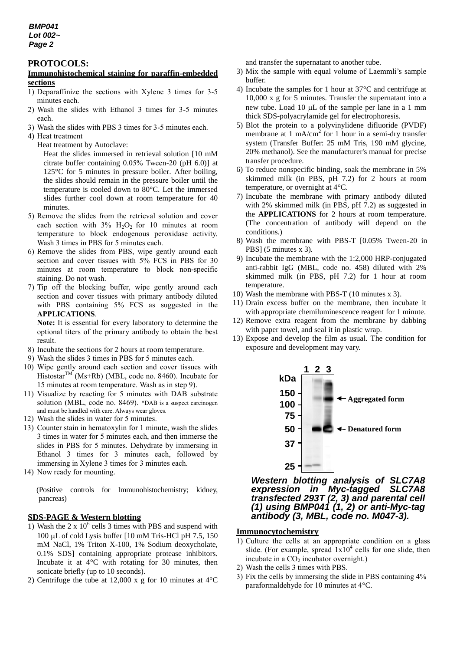## **PROTOCOLS:**

### **Immunohistochemical staining for paraffin-embedded sections**

- 1) Deparaffinize the sections with Xylene 3 times for 3-5 minutes each.
- 2) Wash the slides with Ethanol 3 times for 3-5 minutes each.
- 3) Wash the slides with PBS 3 times for 3-5 minutes each.
- 4) Heat treatment
	- Heat treatment by Autoclave:

Heat the slides immersed in retrieval solution [10 mM citrate buffer containing 0.05% Tween-20 (pH 6.0)] at 125°C for 5 minutes in pressure boiler. After boiling, the slides should remain in the pressure boiler until the temperature is cooled down to 80°C. Let the immersed slides further cool down at room temperature for 40 minutes.

- 5) Remove the slides from the retrieval solution and cover each section with  $3\%$  H<sub>2</sub>O<sub>2</sub> for 10 minutes at room temperature to block endogenous peroxidase activity. Wash 3 times in PBS for 5 minutes each.
- 6) Remove the slides from PBS, wipe gently around each section and cover tissues with 5% FCS in PBS for 30 minutes at room temperature to block non-specific staining. Do not wash.
- 7) Tip off the blocking buffer, wipe gently around each section and cover tissues with primary antibody diluted with PBS containing 5% FCS as suggested in the **APPLICATIONS**.

**Note:** It is essential for every laboratory to determine the optional titers of the primary antibody to obtain the best result.

- 8) Incubate the sections for 2 hours at room temperature.
- 9) Wash the slides 3 times in PBS for 5 minutes each.
- 10) Wipe gently around each section and cover tissues with Histostar<sup>TM</sup> (Ms+Rb) (MBL, code no. 8460). Incubate for 15 minutes at room temperature. Wash as in step 9).
- 11) Visualize by reacting for 5 minutes with DAB substrate solution (MBL, code no. 8469). \*DAB is a suspect carcinogen and must be handled with care. Always wear gloves.
- 12) Wash the slides in water for 5 minutes.
- 13) Counter stain in hematoxylin for 1 minute, wash the slides 3 times in water for 5 minutes each, and then immerse the slides in PBS for 5 minutes. Dehydrate by immersing in Ethanol 3 times for 3 minutes each, followed by immersing in Xylene 3 times for 3 minutes each.
- 14) Now ready for mounting.

(Positive controls for Immunohistochemistry; kidney, pancreas)

# **SDS-PAGE & Western blotting**

- 1) Wash the  $2 \times 10^6$  cells 3 times with PBS and suspend with 100  $\mu$ L of cold Lysis buffer [10 mM Tris-HCl pH 7.5, 150] mM NaCl, 1% Triton X-100, 1% Sodium deoxycholate, 0.1% SDS] containing appropriate protease inhibitors. Incubate it at 4°C with rotating for 30 minutes, then sonicate briefly (up to 10 seconds).
- 2) Centrifuge the tube at 12,000 x g for 10 minutes at 4°C

and transfer the supernatant to another tube.

- 3) Mix the sample with equal volume of Laemmli's sample buffer.
- 4) Incubate the samples for 1 hour at 37°C and centrifuge at 10,000 x g for 5 minutes. Transfer the supernatant into a new tube. Load  $10 \mu L$  of the sample per lane in a 1 mm thick SDS-polyacrylamide gel for electrophoresis.
- 5) Blot the protein to a polyvinylidene difluoride (PVDF) membrane at 1 mA/cm<sup>2</sup> for 1 hour in a semi-dry transfer system (Transfer Buffer: 25 mM Tris, 190 mM glycine, 20% methanol). See the manufacturer's manual for precise transfer procedure.
- 6) To reduce nonspecific binding, soak the membrane in 5% skimmed milk (in PBS, pH 7.2) for 2 hours at room temperature, or overnight at 4°C.
- 7) Incubate the membrane with primary antibody diluted with 2% skimmed milk (in PBS, pH 7.2) as suggested in the **APPLICATIONS** for 2 hours at room temperature. (The concentration of antibody will depend on the conditions.)
- 8) Wash the membrane with PBS-T [0.05% Tween-20 in PBS] (5 minutes x 3).
- 9) Incubate the membrane with the 1:2,000 HRP-conjugated anti-rabbit IgG (MBL, code no. 458) diluted with 2% skimmed milk (in PBS, pH 7.2) for 1 hour at room temperature.
- 10) Wash the membrane with PBS-T (10 minutes x 3).
- 11) Drain excess buffer on the membrane, then incubate it with appropriate chemiluminescence reagent for 1 minute.
- 12) Remove extra reagent from the membrane by dabbing with paper towel, and seal it in plastic wrap.
- 13) Expose and develop the film as usual. The condition for exposure and development may vary.



*Western blotting analysis of SLC7A8 expression in Myc-tagged SLC7A8 transfected 293T (2, 3) and parental cell (1) using BMP041 (1, 2) or anti-Myc-tag antibody (3, MBL, code no. M047-3).*

# **Immunocytochemistry**

- 1) Culture the cells at an appropriate condition on a glass slide. (For example, spread  $1x10^4$  cells for one slide, then incubate in a  $CO<sub>2</sub>$  incubator overnight.)
- 2) Wash the cells 3 times with PBS.
- 3) Fix the cells by immersing the slide in PBS containing 4% paraformaldehyde for 10 minutes at 4°C.